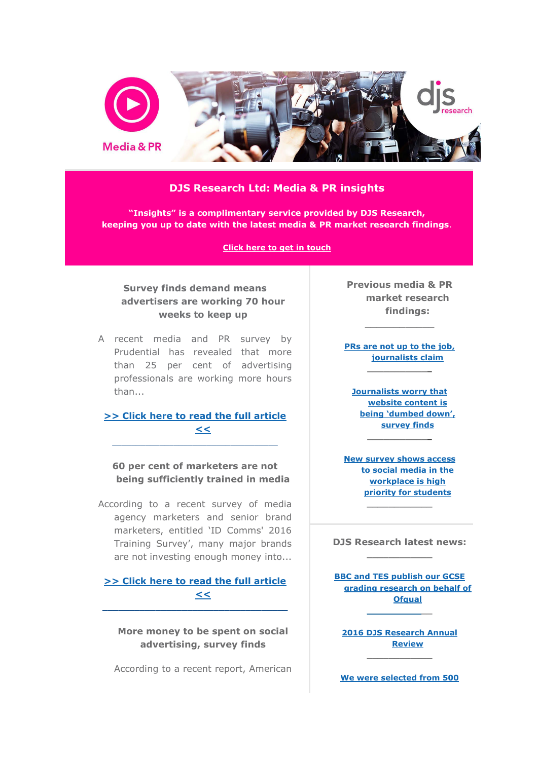

## **DJS Research Ltd: Media & PR insights**

**"Insights" is a complimentary service provided by DJS Research, keeping you up to date with the latest media & PR market research findings**.

**[Click here to get in touch](mailto:contact@djsresearch.com?subject=Media%20%26%20PR%20newsletter)**

## **Survey finds demand means advertisers are working 70 hour weeks to keep up**

A recent media and PR survey by Prudential has revealed that more than 25 per cent of advertising professionals are working more hours than...

**[>> Click here to read the full article](http://www.djsresearch.co.uk/MediaAdvertisingAndPRMarketResearchInsightsAndFindings/article/Survey-finds-demand-means-advertisers-are-working-70-hour-weeks-to-keep-up-03405)  [<<](http://www.djsresearch.co.uk/MediaAdvertisingAndPRMarketResearchInsightsAndFindings/article/Survey-finds-demand-means-advertisers-are-working-70-hour-weeks-to-keep-up-03405)**  $\_$  ,  $\_$  ,  $\_$  ,  $\_$  ,  $\_$  ,  $\_$  ,  $\_$  ,  $\_$  ,  $\_$  ,  $\_$  ,  $\_$  ,  $\_$  ,  $\_$  ,  $\_$ 

**60 per cent of marketers are not being sufficiently trained in media**

According to a recent survey of media agency marketers and senior brand marketers, entitled 'ID Comms' 2016 Training Survey', many major brands are not investing enough money into...

**[>> Click here to read the full article](http://www.djsresearch.co.uk/MediaAdvertisingAndPRMarketResearchInsightsAndFindings/article/60-per-cent-of-marketers-are-not-being-sufficiently-trained-in-media-03355)  [<<](http://www.djsresearch.co.uk/MediaAdvertisingAndPRMarketResearchInsightsAndFindings/article/60-per-cent-of-marketers-are-not-being-sufficiently-trained-in-media-03355) \_\_\_\_\_\_\_\_\_\_\_\_\_\_\_\_\_\_\_\_\_\_\_\_\_\_\_\_\_\_\_\_\_\_\_**

**More money to be spent on social advertising, survey finds**

According to a recent report, American

**Previous media & PR market research findings:**

**\_\_\_\_\_\_\_\_\_\_\_\_**

**[PRs are not up to the job,](http://www.djsresearch.co.uk/MediaAdvertisingAndPRMarketResearchInsightsAndFindings/article/PRs-are-not-up-to-the-job-journalists-claim-03293)  [journalists claim](http://www.djsresearch.co.uk/MediaAdvertisingAndPRMarketResearchInsightsAndFindings/article/PRs-are-not-up-to-the-job-journalists-claim-03293) \_\_\_\_\_\_\_\_\_\_\_\_**

**[Journalists worry that](http://www.djsresearch.co.uk/MediaAdvertisingAndPRMarketResearchInsightsAndFindings/article/Journalists-worry-that-website-content-is-being-dumbed-down-survey-finds-03237)  [website content is](http://www.djsresearch.co.uk/MediaAdvertisingAndPRMarketResearchInsightsAndFindings/article/Journalists-worry-that-website-content-is-being-dumbed-down-survey-finds-03237)  [being 'dumbed down',](http://www.djsresearch.co.uk/MediaAdvertisingAndPRMarketResearchInsightsAndFindings/article/Journalists-worry-that-website-content-is-being-dumbed-down-survey-finds-03237)  [survey](http://www.djsresearch.co.uk/MediaAdvertisingAndPRMarketResearchInsightsAndFindings/article/Journalists-worry-that-website-content-is-being-dumbed-down-survey-finds-03237) finds**

**[New survey shows access](http://www.djsresearch.co.uk/MediaAdvertisingAndPRMarketResearchInsightsAndFindings/article/New-survey-shows-access-to-social-media-in-the-workplace-is-high-priority-for-students-03184)  [to social media in the](http://www.djsresearch.co.uk/MediaAdvertisingAndPRMarketResearchInsightsAndFindings/article/New-survey-shows-access-to-social-media-in-the-workplace-is-high-priority-for-students-03184)  [workplace is high](http://www.djsresearch.co.uk/MediaAdvertisingAndPRMarketResearchInsightsAndFindings/article/New-survey-shows-access-to-social-media-in-the-workplace-is-high-priority-for-students-03184)  [priority for students](http://www.djsresearch.co.uk/MediaAdvertisingAndPRMarketResearchInsightsAndFindings/article/New-survey-shows-access-to-social-media-in-the-workplace-is-high-priority-for-students-03184)**

**\_\_\_\_\_\_\_\_\_\_\_\_**

**\_\_\_\_\_\_\_\_\_\_\_\_**

**DJS Research latest news: \_\_\_\_\_\_\_\_\_\_\_\_**

**[BBC and TES publish our GCSE](http://www.djsresearch.co.uk/news/article/BBC-and-TES-publish-our-GCSE-grading-research-on-behalf-of-Ofqual)  [grading research on behalf of](http://www.djsresearch.co.uk/news/article/BBC-and-TES-publish-our-GCSE-grading-research-on-behalf-of-Ofqual)  [Ofqual](http://www.djsresearch.co.uk/news/article/BBC-and-TES-publish-our-GCSE-grading-research-on-behalf-of-Ofqual) [\\_\\_\\_\\_\\_\\_\\_\\_\\_\\_\\_](http://www.djsresearch.co.uk/news/article/BBC-and-TES-publish-our-GCSE-grading-research-on-behalf-of-Ofqual)\_**

**[2016 DJS Research Annual](http://www.djsresearch.co.uk/news/article/2016-DJS-Research-Annual-Review)  [Review](http://www.djsresearch.co.uk/news/article/2016-DJS-Research-Annual-Review)** 

**[We were selected from 500](http://www.djsresearch.co.uk/news/article/We-were-selected-from-500-European-Market-Research-agencies-to-win-survey-quality-award)**